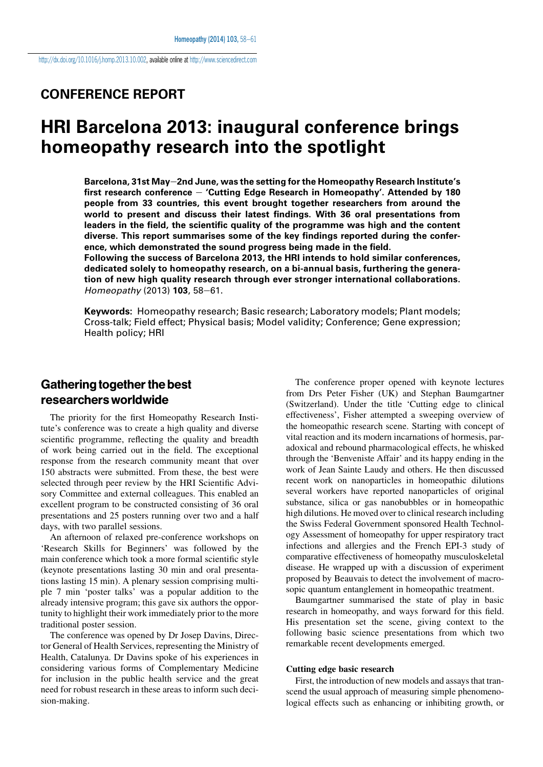#### CONFERENCE REPORT

## HRI Barcelona 2013: inaugural conference brings homeopathy research into the spotlight

Barcelona, 31st May-2nd June, was the setting for the Homeopathy Research Institute's first research conference  $-$  'Cutting Edge Research in Homeopathy'. Attended by 180 people from 33 countries, this event brought together researchers from around the world to present and discuss their latest findings. With 36 oral presentations from leaders in the field, the scientific quality of the programme was high and the content diverse. This report summarises some of the key findings reported during the conference, which demonstrated the sound progress being made in the field.

Following the success of Barcelona 2013, the HRI intends to hold similar conferences, dedicated solely to homeopathy research, on a bi-annual basis, furthering the generation of new high quality research through ever stronger international collaborations. Homeopathy (2013)  $103, 58 - 61$ .

Keywords: Homeopathy research; Basic research; Laboratory models; Plant models; Cross-talk; Field effect; Physical basis; Model validity; Conference; Gene expression; Health policy; HRI

### Gathering together the best researchersworldwide

The priority for the first Homeopathy Research Institute's conference was to create a high quality and diverse scientific programme, reflecting the quality and breadth of work being carried out in the field. The exceptional response from the research community meant that over 150 abstracts were submitted. From these, the best were selected through peer review by the HRI Scientific Advisory Committee and external colleagues. This enabled an excellent program to be constructed consisting of 36 oral presentations and 25 posters running over two and a half days, with two parallel sessions.

An afternoon of relaxed pre-conference workshops on 'Research Skills for Beginners' was followed by the main conference which took a more formal scientific style (keynote presentations lasting 30 min and oral presentations lasting 15 min). A plenary session comprising multiple 7 min 'poster talks' was a popular addition to the already intensive program; this gave six authors the opportunity to highlight their work immediately prior to the more traditional poster session.

The conference was opened by Dr Josep Davins, Director General of Health Services, representing the Ministry of Health, Catalunya. Dr Davins spoke of his experiences in considering various forms of Complementary Medicine for inclusion in the public health service and the great need for robust research in these areas to inform such decision-making.

The conference proper opened with keynote lectures from Drs Peter Fisher (UK) and Stephan Baumgartner (Switzerland). Under the title 'Cutting edge to clinical effectiveness', Fisher attempted a sweeping overview of the homeopathic research scene. Starting with concept of vital reaction and its modern incarnations of hormesis, paradoxical and rebound pharmacological effects, he whisked through the 'Benveniste Affair' and its happy ending in the work of Jean Sainte Laudy and others. He then discussed recent work on nanoparticles in homeopathic dilutions several workers have reported nanoparticles of original substance, silica or gas nanobubbles or in homeopathic high dilutions. He moved over to clinical research including the Swiss Federal Government sponsored Health Technology Assessment of homeopathy for upper respiratory tract infections and allergies and the French EPI-3 study of comparative effectiveness of homeopathy musculoskeletal disease. He wrapped up with a discussion of experiment proposed by Beauvais to detect the involvement of macrosopic quantum entanglement in homeopathic treatment.

Baumgartner summarised the state of play in basic research in homeopathy, and ways forward for this field. His presentation set the scene, giving context to the following basic science presentations from which two remarkable recent developments emerged.

#### Cutting edge basic research

First, the introduction of new models and assays that transcend the usual approach of measuring simple phenomenological effects such as enhancing or inhibiting growth, or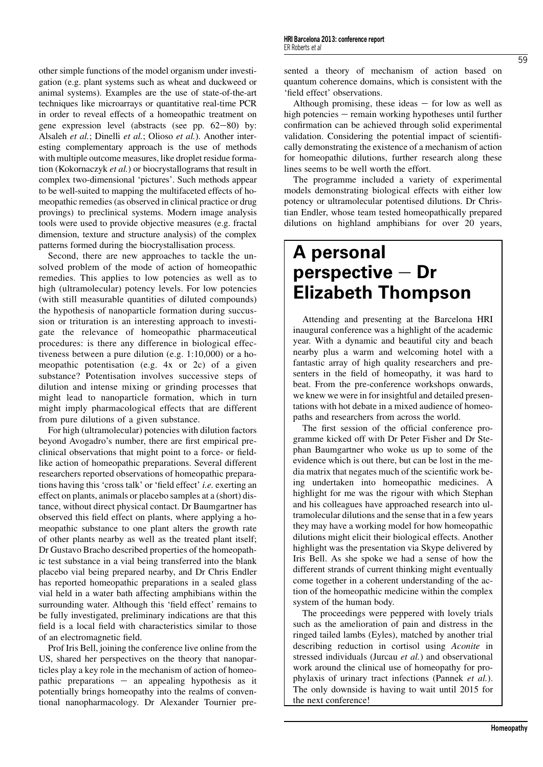other simple functions of the model organism under investigation (e.g. plant systems such as wheat and duckweed or animal systems). Examples are the use of state-of-the-art techniques like microarrays or quantitative real-time PCR in order to reveal effects of a homeopathic treatment on gene expression level (abstracts (see pp.  $62-80$ ) by: Alsaleh et al.; Dinelli et al.; Olioso et al.). Another interesting complementary approach is the use of methods with multiple outcome measures, like droplet residue formation (Kokornaczyk et al.) or biocrystallograms that result in complex two-dimensional 'pictures'. Such methods appear to be well-suited to mapping the multifaceted effects of homeopathic remedies (as observed in clinical practice or drug provings) to preclinical systems. Modern image analysis tools were used to provide objective measures (e.g. fractal dimension, texture and structure analysis) of the complex patterns formed during the biocrystallisation process.

Second, there are new approaches to tackle the unsolved problem of the mode of action of homeopathic remedies. This applies to low potencies as well as to high (ultramolecular) potency levels. For low potencies (with still measurable quantities of diluted compounds) the hypothesis of nanoparticle formation during succussion or trituration is an interesting approach to investigate the relevance of homeopathic pharmaceutical procedures: is there any difference in biological effectiveness between a pure dilution (e.g. 1:10,000) or a homeopathic potentisation (e.g. 4x or 2c) of a given substance? Potentisation involves successive steps of dilution and intense mixing or grinding processes that might lead to nanoparticle formation, which in turn might imply pharmacological effects that are different from pure dilutions of a given substance.

For high (ultramolecular) potencies with dilution factors beyond Avogadro's number, there are first empirical preclinical observations that might point to a force- or fieldlike action of homeopathic preparations. Several different researchers reported observations of homeopathic preparations having this 'cross talk' or 'field effect' i.e. exerting an effect on plants, animals or placebo samples at a (short) distance, without direct physical contact. Dr Baumgartner has observed this field effect on plants, where applying a homeopathic substance to one plant alters the growth rate of other plants nearby as well as the treated plant itself; Dr Gustavo Bracho described properties of the homeopathic test substance in a vial being transferred into the blank placebo vial being prepared nearby, and Dr Chris Endler has reported homeopathic preparations in a sealed glass vial held in a water bath affecting amphibians within the surrounding water. Although this 'field effect' remains to be fully investigated, preliminary indications are that this field is a local field with characteristics similar to those of an electromagnetic field.

Prof Iris Bell, joining the conference live online from the US, shared her perspectives on the theory that nanoparticles play a key role in the mechanism of action of homeopathic preparations  $-$  an appealing hypothesis as it potentially brings homeopathy into the realms of conventional nanopharmacology. Dr Alexander Tournier presented a theory of mechanism of action based on quantum coherence domains, which is consistent with the 'field effect' observations.

Although promising, these ideas  $-$  for low as well as high potencies  $-$  remain working hypotheses until further confirmation can be achieved through solid experimental validation. Considering the potential impact of scientifically demonstrating the existence of a mechanism of action for homeopathic dilutions, further research along these lines seems to be well worth the effort.

The programme included a variety of experimental models demonstrating biological effects with either low potency or ultramolecular potentised dilutions. Dr Christian Endler, whose team tested homeopathically prepared dilutions on highland amphibians for over 20 years,

# A personal perspective  $-$  Dr Elizabeth Thompson

Attending and presenting at the Barcelona HRI inaugural conference was a highlight of the academic year. With a dynamic and beautiful city and beach nearby plus a warm and welcoming hotel with a fantastic array of high quality researchers and presenters in the field of homeopathy, it was hard to beat. From the pre-conference workshops onwards, we knew we were in for insightful and detailed presentations with hot debate in a mixed audience of homeopaths and researchers from across the world.

The first session of the official conference programme kicked off with Dr Peter Fisher and Dr Stephan Baumgartner who woke us up to some of the evidence which is out there, but can be lost in the media matrix that negates much of the scientific work being undertaken into homeopathic medicines. A highlight for me was the rigour with which Stephan and his colleagues have approached research into ultramolecular dilutions and the sense that in a few years they may have a working model for how homeopathic dilutions might elicit their biological effects. Another highlight was the presentation via Skype delivered by Iris Bell. As she spoke we had a sense of how the different strands of current thinking might eventually come together in a coherent understanding of the action of the homeopathic medicine within the complex system of the human body.

The proceedings were peppered with lovely trials such as the amelioration of pain and distress in the ringed tailed lambs (Eyles), matched by another trial describing reduction in cortisol using Aconite in stressed individuals (Jurcau et al.) and observational work around the clinical use of homeopathy for prophylaxis of urinary tract infections (Pannek et al.). The only downside is having to wait until 2015 for the next conference!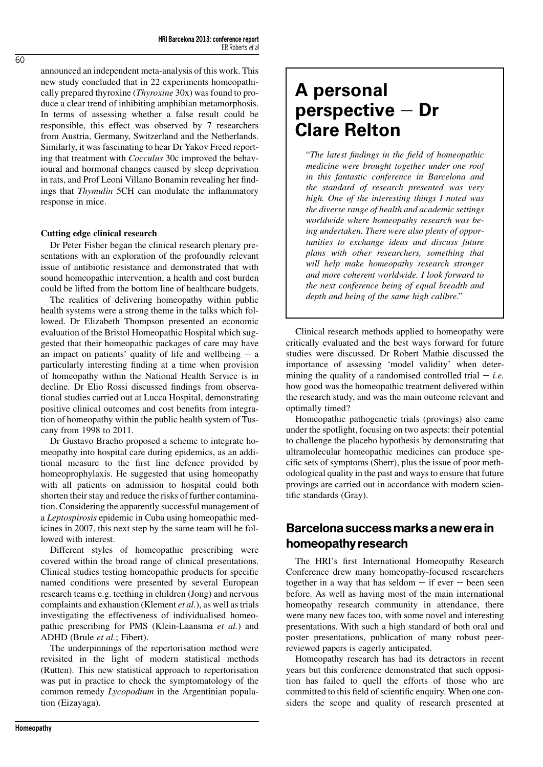announced an independent meta-analysis of this work. This new study concluded that in 22 experiments homeopathically prepared thyroxine (Thyroxine 30x) was found to produce a clear trend of inhibiting amphibian metamorphosis. In terms of assessing whether a false result could be responsible, this effect was observed by 7 researchers from Austria, Germany, Switzerland and the Netherlands. Similarly, it was fascinating to hear Dr Yakov Freed reporting that treatment with Cocculus 30c improved the behavioural and hormonal changes caused by sleep deprivation in rats, and Prof Leoni Villano Bonamin revealing her findings that Thymulin 5CH can modulate the inflammatory response in mice.

#### Cutting edge clinical research

Dr Peter Fisher began the clinical research plenary presentations with an exploration of the profoundly relevant issue of antibiotic resistance and demonstrated that with sound homeopathic intervention, a health and cost burden could be lifted from the bottom line of healthcare budgets.

The realities of delivering homeopathy within public health systems were a strong theme in the talks which followed. Dr Elizabeth Thompson presented an economic evaluation of the Bristol Homeopathic Hospital which suggested that their homeopathic packages of care may have an impact on patients' quality of life and wellbeing  $-$  a particularly interesting finding at a time when provision of homeopathy within the National Health Service is in decline. Dr Elio Rossi discussed findings from observational studies carried out at Lucca Hospital, demonstrating positive clinical outcomes and cost benefits from integration of homeopathy within the public health system of Tuscany from 1998 to 2011.

Dr Gustavo Bracho proposed a scheme to integrate homeopathy into hospital care during epidemics, as an additional measure to the first line defence provided by homeoprophylaxis. He suggested that using homeopathy with all patients on admission to hospital could both shorten their stay and reduce the risks of further contamination. Considering the apparently successful management of a Leptospirosis epidemic in Cuba using homeopathic medicines in 2007, this next step by the same team will be followed with interest.

Different styles of homeopathic prescribing were covered within the broad range of clinical presentations. Clinical studies testing homeopathic products for specific named conditions were presented by several European research teams e.g. teething in children (Jong) and nervous complaints and exhaustion (Klement et al.), as well as trials investigating the effectiveness of individualised homeopathic prescribing for PMS (Klein-Laansma et al.) and ADHD (Brule et al.; Fibert).

The underpinnings of the repertorisation method were revisited in the light of modern statistical methods (Rutten). This new statistical approach to repertorisation was put in practice to check the symptomatology of the common remedy Lycopodium in the Argentinian population (Eizayaga).

# A personal perspective  $-$  Dr Clare Relton

"The latest findings in the field of homeopathic medicine were brought together under one roof in this fantastic conference in Barcelona and the standard of research presented was very high. One of the interesting things I noted was the diverse range of health and academic settings worldwide where homeopathy research was being undertaken. There were also plenty of opportunities to exchange ideas and discuss future plans with other researchers, something that will help make homeopathy research stronger and more coherent worldwide. I look forward to the next conference being of equal breadth and depth and being of the same high calibre."

Clinical research methods applied to homeopathy were critically evaluated and the best ways forward for future studies were discussed. Dr Robert Mathie discussed the importance of assessing 'model validity' when determining the quality of a randomised controlled trial  $-i.e.$ how good was the homeopathic treatment delivered within the research study, and was the main outcome relevant and optimally timed?

Homeopathic pathogenetic trials (provings) also came under the spotlight, focusing on two aspects: their potential to challenge the placebo hypothesis by demonstrating that ultramolecular homeopathic medicines can produce specific sets of symptoms (Sherr), plus the issue of poor methodological quality in the past and ways to ensure that future provings are carried out in accordance with modern scientific standards (Gray).

## Barcelona successmarksanewerain homeopathyresearch

The HRI's first International Homeopathy Research Conference drew many homeopathy-focused researchers together in a way that has seldom  $-$  if ever  $-$  been seen before. As well as having most of the main international homeopathy research community in attendance, there were many new faces too, with some novel and interesting presentations. With such a high standard of both oral and poster presentations, publication of many robust peerreviewed papers is eagerly anticipated.

Homeopathy research has had its detractors in recent years but this conference demonstrated that such opposition has failed to quell the efforts of those who are committed to this field of scientific enquiry. When one considers the scope and quality of research presented at

 $\overline{60}$